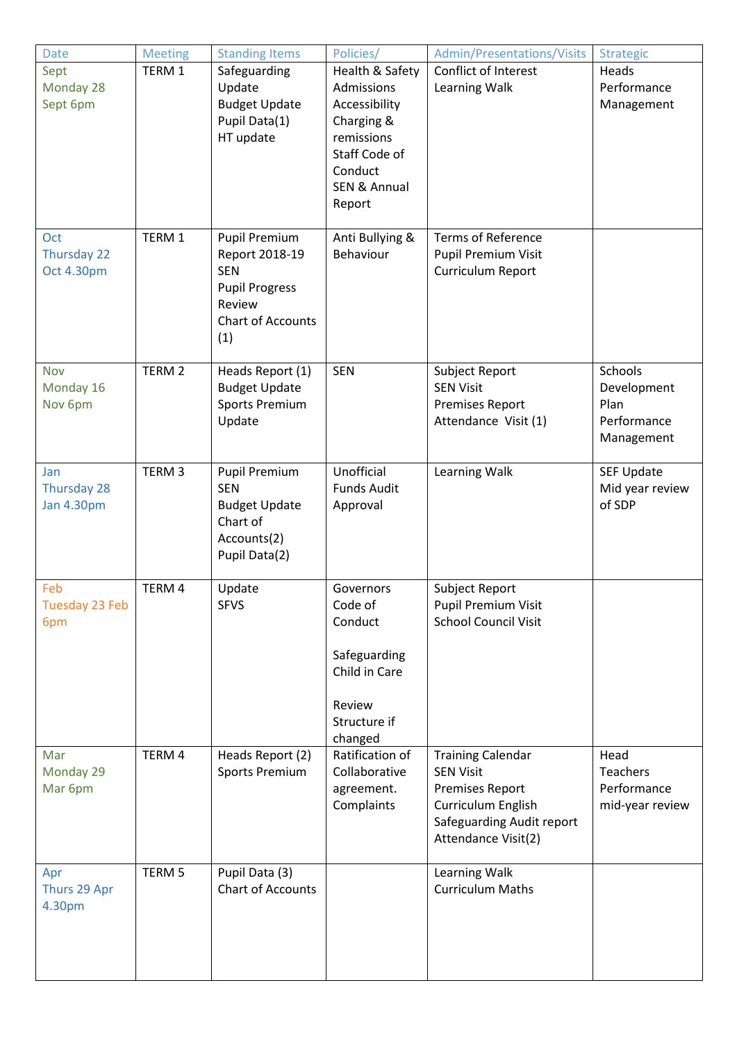| <b>Date</b>       | <b>Meeting</b>    | <b>Standing Items</b>    | Policies/               | Admin/Presentations/Visits  | <b>Strategic</b>  |
|-------------------|-------------------|--------------------------|-------------------------|-----------------------------|-------------------|
| Sept              | TERM 1            | Safeguarding             | Health & Safety         | Conflict of Interest        | Heads             |
| Monday 28         |                   | Update                   | Admissions              | Learning Walk               | Performance       |
| Sept 6pm          |                   | <b>Budget Update</b>     | Accessibility           |                             | Management        |
|                   |                   | Pupil Data(1)            | Charging &              |                             |                   |
|                   |                   | HT update                | remissions              |                             |                   |
|                   |                   |                          | Staff Code of           |                             |                   |
|                   |                   |                          | Conduct                 |                             |                   |
|                   |                   |                          | <b>SEN &amp; Annual</b> |                             |                   |
|                   |                   |                          | Report                  |                             |                   |
|                   |                   |                          |                         |                             |                   |
| Oct               | TERM 1            | <b>Pupil Premium</b>     | Anti Bullying &         | <b>Terms of Reference</b>   |                   |
| Thursday 22       |                   | Report 2018-19           | Behaviour               | Pupil Premium Visit         |                   |
| Oct 4.30pm        |                   | <b>SEN</b>               |                         | Curriculum Report           |                   |
|                   |                   | <b>Pupil Progress</b>    |                         |                             |                   |
|                   |                   | Review                   |                         |                             |                   |
|                   |                   | <b>Chart of Accounts</b> |                         |                             |                   |
|                   |                   | (1)                      |                         |                             |                   |
|                   |                   |                          |                         |                             |                   |
| <b>Nov</b>        | TERM <sub>2</sub> | Heads Report (1)         | <b>SEN</b>              | Subject Report              | Schools           |
| Monday 16         |                   | <b>Budget Update</b>     |                         | <b>SEN Visit</b>            | Development       |
| Nov 6pm           |                   | <b>Sports Premium</b>    |                         | <b>Premises Report</b>      | Plan              |
|                   |                   | Update                   |                         | Attendance Visit (1)        | Performance       |
|                   |                   |                          |                         |                             | Management        |
| Jan               | TERM <sub>3</sub> | <b>Pupil Premium</b>     | Unofficial              | Learning Walk               | <b>SEF Update</b> |
| Thursday 28       |                   | <b>SEN</b>               | <b>Funds Audit</b>      |                             | Mid year review   |
| <b>Jan 4.30pm</b> |                   | <b>Budget Update</b>     | Approval                |                             | of SDP            |
|                   |                   | Chart of                 |                         |                             |                   |
|                   |                   | Accounts(2)              |                         |                             |                   |
|                   |                   | Pupil Data(2)            |                         |                             |                   |
|                   |                   |                          |                         |                             |                   |
| Feb               | TERM 4            | Update                   | Governors               | Subject Report              |                   |
| Tuesday 23 Feb    |                   | <b>SFVS</b>              | Code of                 | Pupil Premium Visit         |                   |
| 6pm               |                   |                          | Conduct                 | <b>School Council Visit</b> |                   |
|                   |                   |                          |                         |                             |                   |
|                   |                   |                          | Safeguarding            |                             |                   |
|                   |                   |                          | Child in Care           |                             |                   |
|                   |                   |                          |                         |                             |                   |
|                   |                   |                          | Review                  |                             |                   |
|                   |                   |                          | Structure if            |                             |                   |
|                   |                   |                          | changed                 |                             |                   |
| Mar               | TERM 4            | Heads Report (2)         | Ratification of         | <b>Training Calendar</b>    | Head              |
| Monday 29         |                   | <b>Sports Premium</b>    | Collaborative           | <b>SEN Visit</b>            | Teachers          |
| Mar 6pm           |                   |                          | agreement.              | <b>Premises Report</b>      | Performance       |
|                   |                   |                          | Complaints              | Curriculum English          | mid-year review   |
|                   |                   |                          |                         | Safeguarding Audit report   |                   |
|                   |                   |                          |                         | Attendance Visit(2)         |                   |
| Apr               | TERM <sub>5</sub> | Pupil Data (3)           |                         | Learning Walk               |                   |
| Thurs 29 Apr      |                   | Chart of Accounts        |                         | <b>Curriculum Maths</b>     |                   |
| 4.30pm            |                   |                          |                         |                             |                   |
|                   |                   |                          |                         |                             |                   |
|                   |                   |                          |                         |                             |                   |
|                   |                   |                          |                         |                             |                   |
|                   |                   |                          |                         |                             |                   |